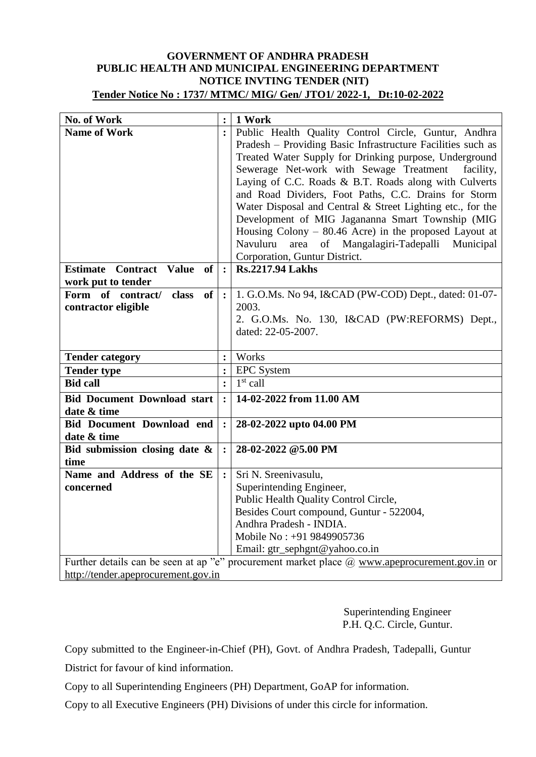## **GOVERNMENT OF ANDHRA PRADESH PUBLIC HEALTH AND MUNICIPAL ENGINEERING DEPARTMENT NOTICE INVTING TENDER (NIT) Tender Notice No : 1737/ MTMC/ MIG/ Gen/ JTO1/ 2022-1, Dt:10-02-2022**

| No. of Work                                                                                          | $\ddot{\cdot}$                   | 1 Work                                                      |  |  |  |
|------------------------------------------------------------------------------------------------------|----------------------------------|-------------------------------------------------------------|--|--|--|
| <b>Name of Work</b>                                                                                  |                                  | Public Health Quality Control Circle, Guntur, Andhra        |  |  |  |
|                                                                                                      |                                  | Pradesh - Providing Basic Infrastructure Facilities such as |  |  |  |
|                                                                                                      |                                  | Treated Water Supply for Drinking purpose, Underground      |  |  |  |
|                                                                                                      |                                  | Sewerage Net-work with Sewage Treatment<br>facility,        |  |  |  |
|                                                                                                      |                                  | Laying of C.C. Roads & B.T. Roads along with Culverts       |  |  |  |
|                                                                                                      |                                  | and Road Dividers, Foot Paths, C.C. Drains for Storm        |  |  |  |
|                                                                                                      |                                  | Water Disposal and Central & Street Lighting etc., for the  |  |  |  |
|                                                                                                      |                                  | Development of MIG Jagananna Smart Township (MIG            |  |  |  |
|                                                                                                      |                                  | Housing Colony $-$ 80.46 Acre) in the proposed Layout at    |  |  |  |
|                                                                                                      |                                  | area of Mangalagiri-Tadepalli<br>Navuluru<br>Municipal      |  |  |  |
|                                                                                                      |                                  | Corporation, Guntur District.                               |  |  |  |
| <b>Value</b><br><b>Estimate Contract</b><br>of                                                       |                                  | <b>Rs.2217.94 Lakhs</b>                                     |  |  |  |
| work put to tender                                                                                   |                                  |                                                             |  |  |  |
| Form of contract/<br>class<br><b>of</b>                                                              | $\cdot$                          | 1. G.O.Ms. No 94, I&CAD (PW-COD) Dept., dated: 01-07-       |  |  |  |
| contractor eligible                                                                                  |                                  | 2003.                                                       |  |  |  |
|                                                                                                      |                                  | 2. G.O.Ms. No. 130, I&CAD (PW:REFORMS) Dept.,               |  |  |  |
|                                                                                                      |                                  | dated: 22-05-2007.                                          |  |  |  |
|                                                                                                      |                                  |                                                             |  |  |  |
| <b>Tender category</b>                                                                               |                                  | Works                                                       |  |  |  |
| <b>Tender type</b>                                                                                   | $\ddot{\cdot}$<br>$\ddot{\cdot}$ | <b>EPC</b> System                                           |  |  |  |
| <b>Bid call</b>                                                                                      |                                  | $1st$ call                                                  |  |  |  |
| <b>Bid Document Download start</b>                                                                   |                                  | 14-02-2022 from 11.00 AM                                    |  |  |  |
| date & time                                                                                          |                                  |                                                             |  |  |  |
| <b>Bid Document Download end</b>                                                                     | $\ddot{\cdot}$                   | 28-02-2022 upto 04.00 PM                                    |  |  |  |
| date & time                                                                                          |                                  |                                                             |  |  |  |
| Bid submission closing date &                                                                        | $\ddot{\cdot}$                   | 28-02-2022 @5.00 PM                                         |  |  |  |
| time                                                                                                 |                                  |                                                             |  |  |  |
| Name and Address of the SE                                                                           | $\ddot{\cdot}$                   | Sri N. Sreenivasulu,                                        |  |  |  |
| concerned                                                                                            |                                  | Superintending Engineer,                                    |  |  |  |
|                                                                                                      |                                  | Public Health Quality Control Circle,                       |  |  |  |
|                                                                                                      |                                  | Besides Court compound, Guntur - 522004,                    |  |  |  |
|                                                                                                      |                                  | Andhra Pradesh - INDIA.                                     |  |  |  |
|                                                                                                      |                                  | Mobile No: +91 9849905736                                   |  |  |  |
|                                                                                                      |                                  | Email: gtr_sephgnt@yahoo.co.in                              |  |  |  |
| Further details can be seen at ap "e" procurement market place $\omega$ www.apeprocurement.gov.in or |                                  |                                                             |  |  |  |
| http://tender.apeprocurement.gov.in                                                                  |                                  |                                                             |  |  |  |

Superintending Engineer P.H. Q.C. Circle, Guntur.

Copy submitted to the Engineer-in-Chief (PH), Govt. of Andhra Pradesh, Tadepalli, Guntur District for favour of kind information.

Copy to all Superintending Engineers (PH) Department, GoAP for information.

Copy to all Executive Engineers (PH) Divisions of under this circle for information.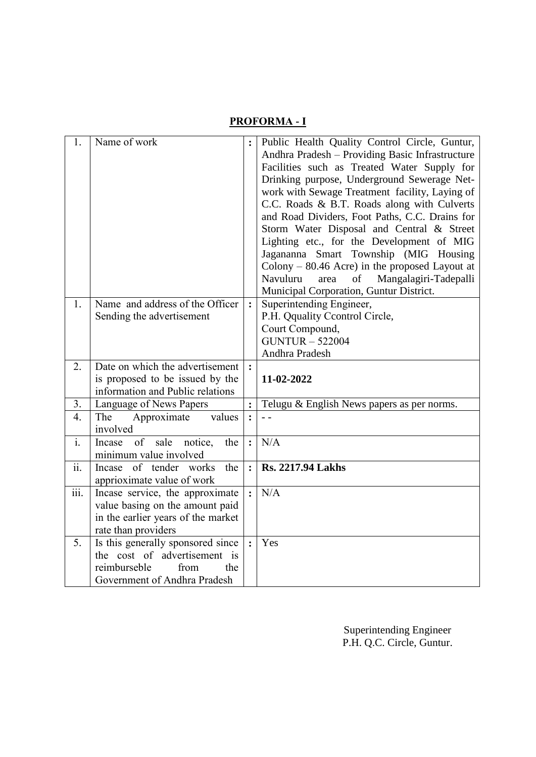## **PROFORMA - I**

| 1.                        | Name of work                                                                                                                     |                | Public Health Quality Control Circle, Guntur,<br>Andhra Pradesh - Providing Basic Infrastructure<br>Facilities such as Treated Water Supply for<br>Drinking purpose, Underground Sewerage Net-<br>work with Sewage Treatment facility, Laying of<br>C.C. Roads & B.T. Roads along with Culverts<br>and Road Dividers, Foot Paths, C.C. Drains for<br>Storm Water Disposal and Central & Street<br>Lighting etc., for the Development of MIG<br>Jagananna Smart Township (MIG Housing<br>Colony – $80.46$ Acre) in the proposed Layout at<br>Navuluru<br>of<br>Mangalagiri-Tadepalli<br>area<br>Municipal Corporation, Guntur District. |
|---------------------------|----------------------------------------------------------------------------------------------------------------------------------|----------------|----------------------------------------------------------------------------------------------------------------------------------------------------------------------------------------------------------------------------------------------------------------------------------------------------------------------------------------------------------------------------------------------------------------------------------------------------------------------------------------------------------------------------------------------------------------------------------------------------------------------------------------|
| 1.                        | Name and address of the Officer<br>Sending the advertisement                                                                     |                | Superintending Engineer,<br>P.H. Qquality Ccontrol Circle,<br>Court Compound,<br><b>GUNTUR - 522004</b><br>Andhra Pradesh                                                                                                                                                                                                                                                                                                                                                                                                                                                                                                              |
| 2.                        | Date on which the advertisement<br>is proposed to be issued by the                                                               | $\ddot{\cdot}$ | 11-02-2022                                                                                                                                                                                                                                                                                                                                                                                                                                                                                                                                                                                                                             |
|                           | information and Public relations                                                                                                 |                |                                                                                                                                                                                                                                                                                                                                                                                                                                                                                                                                                                                                                                        |
| 3.<br>4.                  | Language of News Papers<br>The<br>Approximate<br>values                                                                          | $\ddot{\cdot}$ | Telugu & English News papers as per norms.                                                                                                                                                                                                                                                                                                                                                                                                                                                                                                                                                                                             |
|                           | involved                                                                                                                         |                |                                                                                                                                                                                                                                                                                                                                                                                                                                                                                                                                                                                                                                        |
| i.                        | of<br>sale<br>the<br>Incase<br>notice,<br>minimum value involved                                                                 | $\ddot{\cdot}$ | N/A                                                                                                                                                                                                                                                                                                                                                                                                                                                                                                                                                                                                                                    |
| $\overline{ii}$ .         | of tender<br>the<br>works<br>Incase<br>apprioximate value of work                                                                | $\ddot{\cdot}$ | <b>Rs. 2217.94 Lakhs</b>                                                                                                                                                                                                                                                                                                                                                                                                                                                                                                                                                                                                               |
| $\overline{\text{iii}}$ . | Incase service, the approximate<br>value basing on the amount paid<br>in the earlier years of the market<br>rate than providers  |                | N/A                                                                                                                                                                                                                                                                                                                                                                                                                                                                                                                                                                                                                                    |
| 5.                        | Is this generally sponsored since<br>the cost of advertisement is<br>reimburseble<br>from<br>the<br>Government of Andhra Pradesh | $\ddot{\cdot}$ | Yes                                                                                                                                                                                                                                                                                                                                                                                                                                                                                                                                                                                                                                    |

Superintending Engineer P.H. Q.C. Circle, Guntur.